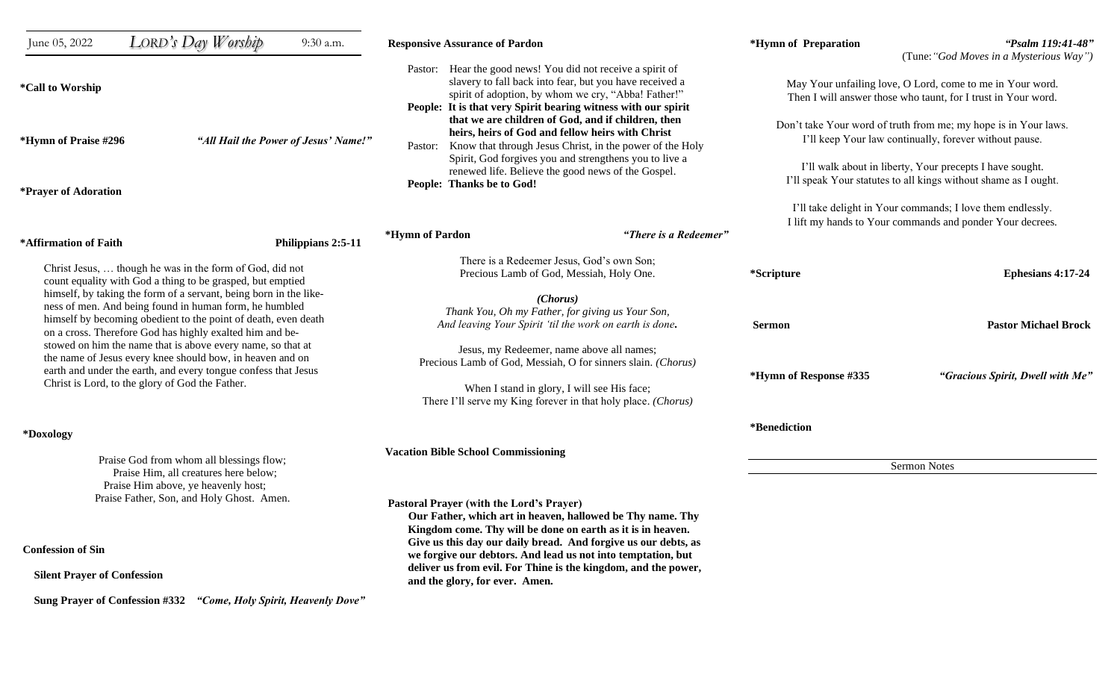| June 05, 2022                                                                                                                                                                                                                                                                                                                                                                                                                                                                                                                                                                     | LORD's Day Worship                                                | 9:30 a.m.                                                                                                                                                                                                                                                                                                                                                                                                   | <b>Responsive Assurance of Pardon</b>                                                                                                                                                                                                                                                                                                                                                                                                                                                                                                                                      |  | *Hymn of Preparation                                                                                                                                                                                                                                    | "Psalm 119:41-48"<br>(Tune: "God Moves in a Mysterious Way") |
|-----------------------------------------------------------------------------------------------------------------------------------------------------------------------------------------------------------------------------------------------------------------------------------------------------------------------------------------------------------------------------------------------------------------------------------------------------------------------------------------------------------------------------------------------------------------------------------|-------------------------------------------------------------------|-------------------------------------------------------------------------------------------------------------------------------------------------------------------------------------------------------------------------------------------------------------------------------------------------------------------------------------------------------------------------------------------------------------|----------------------------------------------------------------------------------------------------------------------------------------------------------------------------------------------------------------------------------------------------------------------------------------------------------------------------------------------------------------------------------------------------------------------------------------------------------------------------------------------------------------------------------------------------------------------------|--|---------------------------------------------------------------------------------------------------------------------------------------------------------------------------------------------------------------------------------------------------------|--------------------------------------------------------------|
| *Call to Worship<br>*Hymn of Praise #296<br>"All Hail the Power of Jesus' Name!"<br>*Prayer of Adoration                                                                                                                                                                                                                                                                                                                                                                                                                                                                          |                                                                   |                                                                                                                                                                                                                                                                                                                                                                                                             | Pastor: Hear the good news! You did not receive a spirit of<br>slavery to fall back into fear, but you have received a<br>spirit of adoption, by whom we cry, "Abba! Father!"<br>People: It is that very Spirit bearing witness with our spirit<br>that we are children of God, and if children, then<br>heirs, heirs of God and fellow heirs with Christ<br>Pastor: Know that through Jesus Christ, in the power of the Holy<br>Spirit, God forgives you and strengthens you to live a<br>renewed life. Believe the good news of the Gospel.<br>People: Thanks be to God! |  | May Your unfailing love, O Lord, come to me in Your word.<br>Then I will answer those who taunt, for I trust in Your word.<br>Don't take Your word of truth from me; my hope is in Your laws.<br>I'll keep Your law continually, forever without pause. |                                                              |
|                                                                                                                                                                                                                                                                                                                                                                                                                                                                                                                                                                                   |                                                                   |                                                                                                                                                                                                                                                                                                                                                                                                             |                                                                                                                                                                                                                                                                                                                                                                                                                                                                                                                                                                            |  |                                                                                                                                                                                                                                                         |                                                              |
|                                                                                                                                                                                                                                                                                                                                                                                                                                                                                                                                                                                   |                                                                   |                                                                                                                                                                                                                                                                                                                                                                                                             |                                                                                                                                                                                                                                                                                                                                                                                                                                                                                                                                                                            |  |                                                                                                                                                                                                                                                         |                                                              |
| *Affirmation of Faith                                                                                                                                                                                                                                                                                                                                                                                                                                                                                                                                                             |                                                                   | Philippians 2:5-11                                                                                                                                                                                                                                                                                                                                                                                          |                                                                                                                                                                                                                                                                                                                                                                                                                                                                                                                                                                            |  |                                                                                                                                                                                                                                                         |                                                              |
| Christ Jesus,  though he was in the form of God, did not<br>count equality with God a thing to be grasped, but emptied<br>himself, by taking the form of a servant, being born in the like-<br>ness of men. And being found in human form, he humbled<br>himself by becoming obedient to the point of death, even death<br>on a cross. Therefore God has highly exalted him and be-<br>stowed on him the name that is above every name, so that at<br>the name of Jesus every knee should bow, in heaven and on<br>earth and under the earth, and every tongue confess that Jesus |                                                                   |                                                                                                                                                                                                                                                                                                                                                                                                             | There is a Redeemer Jesus, God's own Son;<br>Precious Lamb of God, Messiah, Holy One.                                                                                                                                                                                                                                                                                                                                                                                                                                                                                      |  | *Scripture                                                                                                                                                                                                                                              | Ephesians 4:17-24                                            |
|                                                                                                                                                                                                                                                                                                                                                                                                                                                                                                                                                                                   |                                                                   |                                                                                                                                                                                                                                                                                                                                                                                                             | ( <i>Chorus</i> )                                                                                                                                                                                                                                                                                                                                                                                                                                                                                                                                                          |  |                                                                                                                                                                                                                                                         |                                                              |
|                                                                                                                                                                                                                                                                                                                                                                                                                                                                                                                                                                                   |                                                                   |                                                                                                                                                                                                                                                                                                                                                                                                             | Thank You, Oh my Father, for giving us Your Son,<br>And leaving Your Spirit 'til the work on earth is done.                                                                                                                                                                                                                                                                                                                                                                                                                                                                |  |                                                                                                                                                                                                                                                         |                                                              |
|                                                                                                                                                                                                                                                                                                                                                                                                                                                                                                                                                                                   |                                                                   |                                                                                                                                                                                                                                                                                                                                                                                                             |                                                                                                                                                                                                                                                                                                                                                                                                                                                                                                                                                                            |  | <b>Sermon</b>                                                                                                                                                                                                                                           | <b>Pastor Michael Brock</b>                                  |
|                                                                                                                                                                                                                                                                                                                                                                                                                                                                                                                                                                                   |                                                                   |                                                                                                                                                                                                                                                                                                                                                                                                             | Jesus, my Redeemer, name above all names;<br>Precious Lamb of God, Messiah, O for sinners slain. (Chorus)                                                                                                                                                                                                                                                                                                                                                                                                                                                                  |  | *Hymn of Response #335                                                                                                                                                                                                                                  | "Gracious Spirit, Dwell with Me"                             |
| Christ is Lord, to the glory of God the Father.                                                                                                                                                                                                                                                                                                                                                                                                                                                                                                                                   |                                                                   |                                                                                                                                                                                                                                                                                                                                                                                                             | When I stand in glory, I will see His face;<br>There I'll serve my King forever in that holy place. (Chorus)                                                                                                                                                                                                                                                                                                                                                                                                                                                               |  |                                                                                                                                                                                                                                                         |                                                              |
| *Doxology                                                                                                                                                                                                                                                                                                                                                                                                                                                                                                                                                                         |                                                                   |                                                                                                                                                                                                                                                                                                                                                                                                             |                                                                                                                                                                                                                                                                                                                                                                                                                                                                                                                                                                            |  | *Benediction                                                                                                                                                                                                                                            |                                                              |
| Praise God from whom all blessings flow;<br>Praise Him, all creatures here below;                                                                                                                                                                                                                                                                                                                                                                                                                                                                                                 |                                                                   |                                                                                                                                                                                                                                                                                                                                                                                                             | <b>Vacation Bible School Commissioning</b>                                                                                                                                                                                                                                                                                                                                                                                                                                                                                                                                 |  |                                                                                                                                                                                                                                                         |                                                              |
|                                                                                                                                                                                                                                                                                                                                                                                                                                                                                                                                                                                   |                                                                   |                                                                                                                                                                                                                                                                                                                                                                                                             |                                                                                                                                                                                                                                                                                                                                                                                                                                                                                                                                                                            |  | <b>Sermon Notes</b>                                                                                                                                                                                                                                     |                                                              |
| Praise Him above, ye heavenly host;<br>Praise Father, Son, and Holy Ghost. Amen.                                                                                                                                                                                                                                                                                                                                                                                                                                                                                                  |                                                                   | Pastoral Prayer (with the Lord's Prayer)<br>Our Father, which art in heaven, hallowed be Thy name. Thy<br>Kingdom come. Thy will be done on earth as it is in heaven.<br>Give us this day our daily bread. And forgive us our debts, as<br>we forgive our debtors. And lead us not into temptation, but<br>deliver us from evil. For Thine is the kingdom, and the power,<br>and the glory, for ever. Amen. |                                                                                                                                                                                                                                                                                                                                                                                                                                                                                                                                                                            |  |                                                                                                                                                                                                                                                         |                                                              |
| <b>Confession of Sin</b><br><b>Silent Prayer of Confession</b>                                                                                                                                                                                                                                                                                                                                                                                                                                                                                                                    |                                                                   |                                                                                                                                                                                                                                                                                                                                                                                                             |                                                                                                                                                                                                                                                                                                                                                                                                                                                                                                                                                                            |  |                                                                                                                                                                                                                                                         |                                                              |
|                                                                                                                                                                                                                                                                                                                                                                                                                                                                                                                                                                                   |                                                                   |                                                                                                                                                                                                                                                                                                                                                                                                             |                                                                                                                                                                                                                                                                                                                                                                                                                                                                                                                                                                            |  |                                                                                                                                                                                                                                                         |                                                              |
|                                                                                                                                                                                                                                                                                                                                                                                                                                                                                                                                                                                   | Sung Prayer of Confession #332 "Come, Holy Spirit, Heavenly Dove" |                                                                                                                                                                                                                                                                                                                                                                                                             |                                                                                                                                                                                                                                                                                                                                                                                                                                                                                                                                                                            |  |                                                                                                                                                                                                                                                         |                                                              |